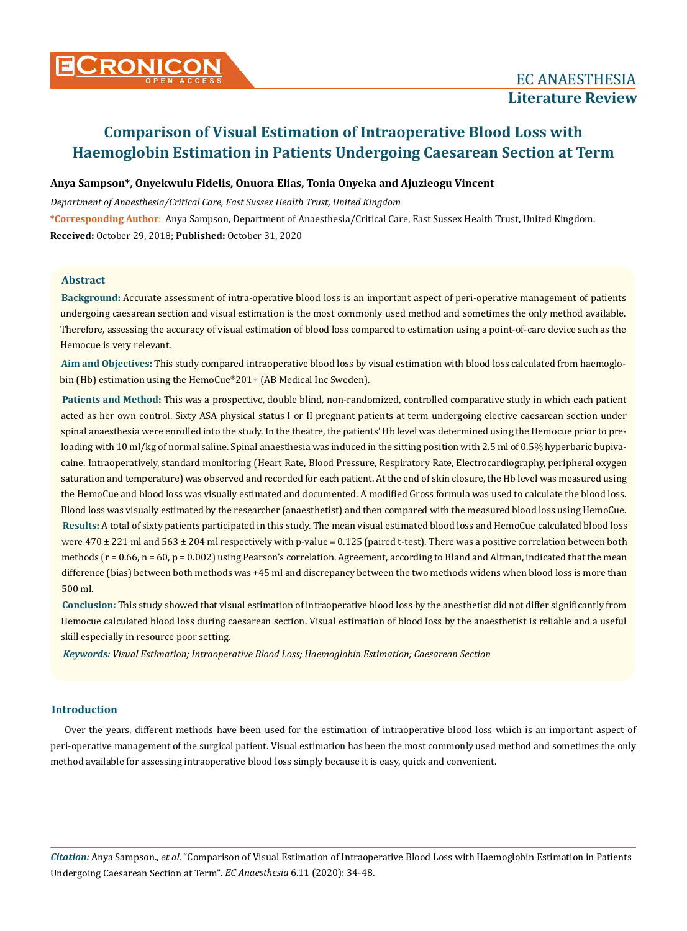# **Anya Sampson\*, Onyekwulu Fidelis, Onuora Elias, Tonia Onyeka and Ajuzieogu Vincent**

*Department of Anaesthesia/Critical Care, East Sussex Health Trust, United Kingdom* **\*Corresponding Author**: Anya Sampson, Department of Anaesthesia/Critical Care, East Sussex Health Trust, United Kingdom. **Received:** October 29, 2018; **Published:** October 31, 2020

# **Abstract**

**Background:** Accurate assessment of intra-operative blood loss is an important aspect of peri-operative management of patients undergoing caesarean section and visual estimation is the most commonly used method and sometimes the only method available. Therefore, assessing the accuracy of visual estimation of blood loss compared to estimation using a point-of-care device such as the Hemocue is very relevant.

**Aim and Objectives:** This study compared intraoperative blood loss by visual estimation with blood loss calculated from haemoglobin (Hb) estimation using the HemoCue®201+ (AB Medical Inc Sweden).

**Results:** A total of sixty patients participated in this study. The mean visual estimated blood loss and HemoCue calculated blood loss were  $470 \pm 221$  ml and  $563 \pm 204$  ml respectively with p-value = 0.125 (paired t-test). There was a positive correlation between both methods  $(r = 0.66, n = 60, p = 0.002)$  using Pearson's correlation. Agreement, according to Bland and Altman, indicated that the mean difference (bias) between both methods was +45 ml and discrepancy between the two methods widens when blood loss is more than 500 ml. **Patients and Method:** This was a prospective, double blind, non-randomized, controlled comparative study in which each patient acted as her own control. Sixty ASA physical status I or II pregnant patients at term undergoing elective caesarean section under spinal anaesthesia were enrolled into the study. In the theatre, the patients' Hb level was determined using the Hemocue prior to preloading with 10 ml/kg of normal saline. Spinal anaesthesia was induced in the sitting position with 2.5 ml of 0.5% hyperbaric bupivacaine. Intraoperatively, standard monitoring (Heart Rate, Blood Pressure, Respiratory Rate, Electrocardiography, peripheral oxygen saturation and temperature) was observed and recorded for each patient. At the end of skin closure, the Hb level was measured using the HemoCue and blood loss was visually estimated and documented. A modified Gross formula was used to calculate the blood loss. Blood loss was visually estimated by the researcher (anaesthetist) and then compared with the measured blood loss using HemoCue.

**Conclusion:** This study showed that visual estimation of intraoperative blood loss by the anesthetist did not differ significantly from Hemocue calculated blood loss during caesarean section. Visual estimation of blood loss by the anaesthetist is reliable and a useful skill especially in resource poor setting.

*Keywords: Visual Estimation; Intraoperative Blood Loss; Haemoglobin Estimation; Caesarean Section*

# **Introduction**

Over the years, different methods have been used for the estimation of intraoperative blood loss which is an important aspect of peri-operative management of the surgical patient. Visual estimation has been the most commonly used method and sometimes the only method available for assessing intraoperative blood loss simply because it is easy, quick and convenient.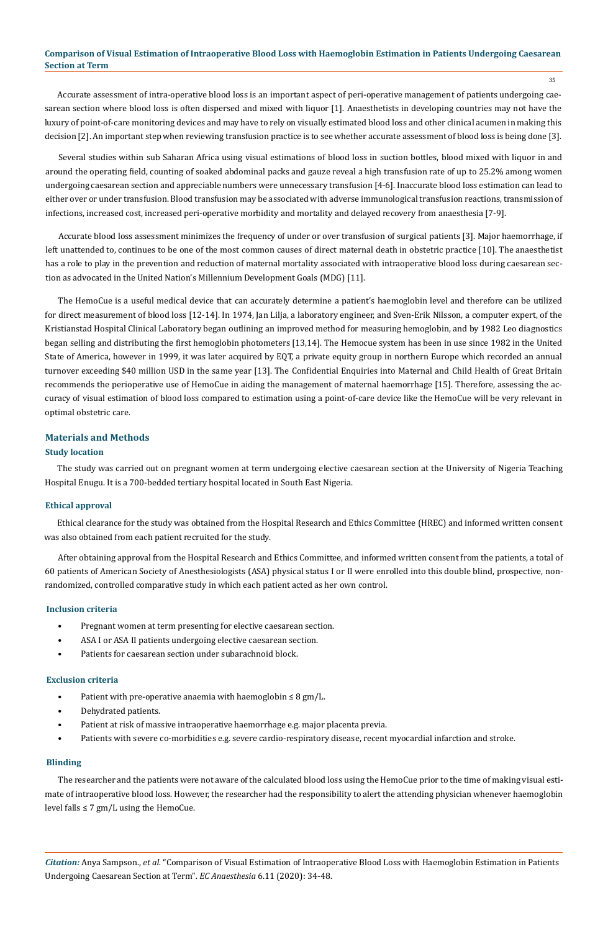35

Accurate assessment of intra-operative blood loss is an important aspect of peri-operative management of patients undergoing caesarean section where blood loss is often dispersed and mixed with liquor [1]. Anaesthetists in developing countries may not have the luxury of point-of-care monitoring devices and may have to rely on visually estimated blood loss and other clinical acumen in making this decision [2]. An important step when reviewing transfusion practice is to see whether accurate assessment of blood loss is being done [3].

Several studies within sub Saharan Africa using visual estimations of blood loss in suction bottles, blood mixed with liquor in and around the operating field, counting of soaked abdominal packs and gauze reveal a high transfusion rate of up to 25.2% among women undergoing caesarean section and appreciable numbers were unnecessary transfusion [4-6]. Inaccurate blood loss estimation can lead to either over or under transfusion. Blood transfusion may be associated with adverse immunological transfusion reactions, transmission of infections, increased cost, increased peri-operative morbidity and mortality and delayed recovery from anaesthesia [7-9].

Accurate blood loss assessment minimizes the frequency of under or over transfusion of surgical patients [3]. Major haemorrhage, if left unattended to, continues to be one of the most common causes of direct maternal death in obstetric practice [10]. The anaesthetist has a role to play in the prevention and reduction of maternal mortality associated with intraoperative blood loss during caesarean section as advocated in the United Nation's Millennium Development Goals (MDG) [11].

The HemoCue is a useful medical device that can accurately determine a patient's haemoglobin level and therefore can be utilized for direct measurement of blood loss [12-14]. In 1974, Jan Lilja, a laboratory engineer, and Sven-Erik Nilsson, a computer expert, of the Kristianstad Hospital Clinical Laboratory began outlining an improved method for measuring hemoglobin, and by 1982 Leo diagnostics began selling and distributing the first hemoglobin photometers [13,14]. The Hemocue system has been in use since 1982 in the United State of America, however in 1999, it was later acquired by EQT, a private equity group in northern Europe which recorded an annual turnover exceeding \$40 million USD in the same year [13]. The Confidential Enquiries into Maternal and Child Health of Great Britain recommends the perioperative use of HemoCue in aiding the management of maternal haemorrhage [15]. Therefore, assessing the accuracy of visual estimation of blood loss compared to estimation using a point-of-care device like the HemoCue will be very relevant in optimal obstetric care.

# **Materials and Methods**

## **Study location**

The study was carried out on pregnant women at term undergoing elective caesarean section at the University of Nigeria Teaching Hospital Enugu. It is a 700-bedded tertiary hospital located in South East Nigeria.

# **Ethical approval**

Ethical clearance for the study was obtained from the Hospital Research and Ethics Committee (HREC) and informed written consent was also obtained from each patient recruited for the study.

After obtaining approval from the Hospital Research and Ethics Committee, and informed written consent from the patients, a total of 60 patients of American Society of Anesthesiologists (ASA) physical status I or II were enrolled into this double blind, prospective, nonrandomized, controlled comparative study in which each patient acted as her own control.

#### **Inclusion criteria**

- Pregnant women at term presenting for elective caesarean section.
- ASA I or ASA II patients undergoing elective caesarean section.
- Patients for caesarean section under subarachnoid block.

#### **Exclusion criteria**

- Patient with pre-operative anaemia with haemoglobin  $\leq 8$  gm/L.
- Dehydrated patients.
- Patient at risk of massive intraoperative haemorrhage e.g. major placenta previa.
- Patients with severe co-morbidities e.g. severe cardio-respiratory disease, recent myocardial infarction and stroke.

## **Blinding**

The researcher and the patients were not aware of the calculated blood loss using the HemoCue prior to the time of making visual estimate of intraoperative blood loss. However, the researcher had the responsibility to alert the attending physician whenever haemoglobin level falls  $\leq 7$  gm/L using the HemoCue.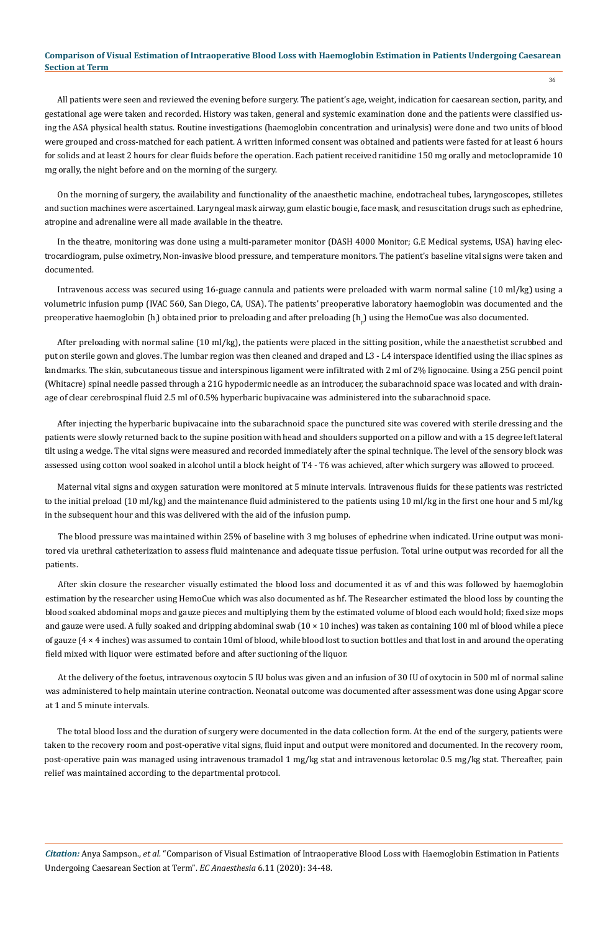All patients were seen and reviewed the evening before surgery. The patient's age, weight, indication for caesarean section, parity, and gestational age were taken and recorded. History was taken, general and systemic examination done and the patients were classified using the ASA physical health status. Routine investigations (haemoglobin concentration and urinalysis) were done and two units of blood were grouped and cross-matched for each patient. A written informed consent was obtained and patients were fasted for at least 6 hours for solids and at least 2 hours for clear fluids before the operation. Each patient received ranitidine 150 mg orally and metoclopramide 10 mg orally, the night before and on the morning of the surgery.

On the morning of surgery, the availability and functionality of the anaesthetic machine, endotracheal tubes, laryngoscopes, stilletes and suction machines were ascertained. Laryngeal mask airway, gum elastic bougie, face mask, and resuscitation drugs such as ephedrine, atropine and adrenaline were all made available in the theatre.

In the theatre, monitoring was done using a multi-parameter monitor (DASH 4000 Monitor; G.E Medical systems, USA) having electrocardiogram, pulse oximetry, Non-invasive blood pressure, and temperature monitors. The patient's baseline vital signs were taken and documented.

Intravenous access was secured using 16-guage cannula and patients were preloaded with warm normal saline (10 ml/kg) using a volumetric infusion pump (IVAC 560, San Diego, CA, USA). The patients' preoperative laboratory haemoglobin was documented and the preoperative haemoglobin (h<sub>i</sub>) obtained prior to preloading and after preloading (h<sub>p</sub>) using the HemoCue was also documented.

After preloading with normal saline (10 ml/kg), the patients were placed in the sitting position, while the anaesthetist scrubbed and put on sterile gown and gloves. The lumbar region was then cleaned and draped and L3 - L4 interspace identified using the iliac spines as landmarks. The skin, subcutaneous tissue and interspinous ligament were infiltrated with 2 ml of 2% lignocaine. Using a 25G pencil point (Whitacre) spinal needle passed through a 21G hypodermic needle as an introducer, the subarachnoid space was located and with drainage of clear cerebrospinal fluid 2.5 ml of 0.5% hyperbaric bupivacaine was administered into the subarachnoid space.

After injecting the hyperbaric bupivacaine into the subarachnoid space the punctured site was covered with sterile dressing and the patients were slowly returned back to the supine position with head and shoulders supported on a pillow and with a 15 degree left lateral tilt using a wedge. The vital signs were measured and recorded immediately after the spinal technique. The level of the sensory block was assessed using cotton wool soaked in alcohol until a block height of T4 - T6 was achieved, after which surgery was allowed to proceed.

Maternal vital signs and oxygen saturation were monitored at 5 minute intervals. Intravenous fluids for these patients was restricted to the initial preload (10 ml/kg) and the maintenance fluid administered to the patients using 10 ml/kg in the first one hour and 5 ml/kg in the subsequent hour and this was delivered with the aid of the infusion pump.

The blood pressure was maintained within 25% of baseline with 3 mg boluses of ephedrine when indicated. Urine output was monitored via urethral catheterization to assess fluid maintenance and adequate tissue perfusion. Total urine output was recorded for all the patients.

After skin closure the researcher visually estimated the blood loss and documented it as vf and this was followed by haemoglobin estimation by the researcher using HemoCue which was also documented as hf. The Researcher estimated the blood loss by counting the blood soaked abdominal mops and gauze pieces and multiplying them by the estimated volume of blood each would hold; fixed size mops and gauze were used. A fully soaked and dripping abdominal swab  $(10 \times 10$  inches) was taken as containing 100 ml of blood while a piece of gauze (4 × 4 inches) was assumed to contain 10ml of blood, while blood lost to suction bottles and that lost in and around the operating field mixed with liquor were estimated before and after suctioning of the liquor.

At the delivery of the foetus, intravenous oxytocin 5 IU bolus was given and an infusion of 30 IU of oxytocin in 500 ml of normal saline was administered to help maintain uterine contraction. Neonatal outcome was documented after assessment was done using Apgar score at 1 and 5 minute intervals.

The total blood loss and the duration of surgery were documented in the data collection form. At the end of the surgery, patients were taken to the recovery room and post-operative vital signs, fluid input and output were monitored and documented. In the recovery room, post-operative pain was managed using intravenous tramadol 1 mg/kg stat and intravenous ketorolac 0.5 mg/kg stat. Thereafter, pain relief was maintained according to the departmental protocol.

*Citation:* Anya Sampson., *et al.* "Comparison of Visual Estimation of Intraoperative Blood Loss with Haemoglobin Estimation in Patients Undergoing Caesarean Section at Term". *EC Anaesthesia* 6.11 (2020): 34-48.

36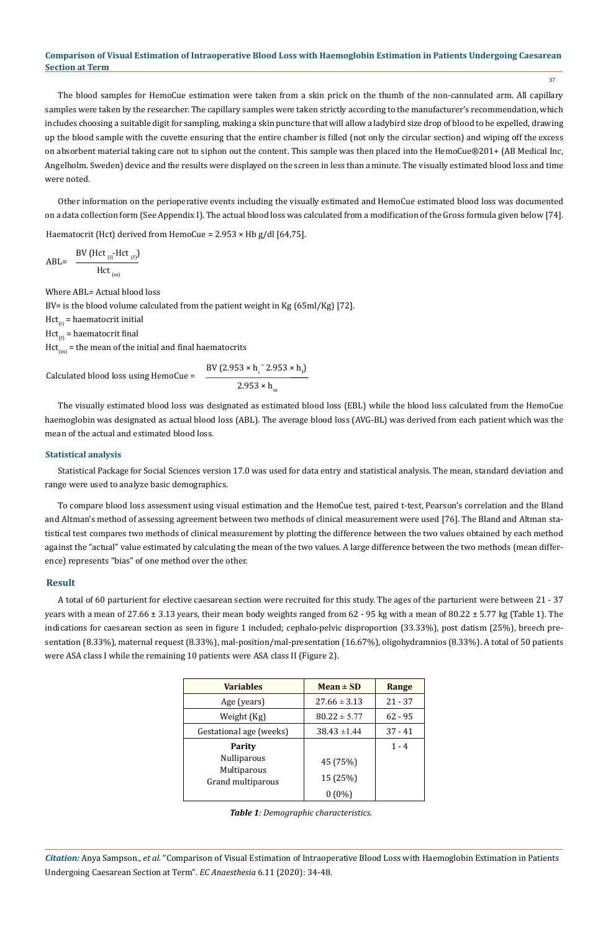37

The blood samples for HemoCue estimation were taken from a skin prick on the thumb of the non-cannulated arm. All capillary samples were taken by the researcher. The capillary samples were taken strictly according to the manufacturer's recommendation, which includes choosing a suitable digit for sampling, making a skin puncture that will allow a ladybird size drop of blood to be expelled, drawing up the blood sample with the cuvette ensuring that the entire chamber is filled (not only the circular section) and wiping off the excess on absorbent material taking care not to siphon out the content. This sample was then placed into the HemoCue®201+ (AB Medical Inc, Angelholm. Sweden) device and the results were displayed on the screen in less than a minute. The visually estimated blood loss and time were noted.

Other information on the perioperative events including the visually estimated and HemoCue estimated blood loss was documented on a data collection form (See Appendix I). The actual blood loss was calculated from a modification of the Gross formula given below [74].

Haematocrit (Hct) derived from HemoCue =  $2.953 \times$  Hb g/dl [64,75].

$$
ABL = \frac{BV (Hct_{(i)}-Hct_{(f)})}{Hct_{(m)}}
$$

Where ABL= Actual blood loss

BV= is the blood volume calculated from the patient weight in Kg (65ml/Kg) [72].

 $Hct_{(i)}$  = haematocrit initial

 $Hct_{(f)}$  = haematocrit final

 $Hct_{(m)}$  = the mean of the initial and final haematocrits

Calculated blood loss using HemoCue =

$$
\frac{2.953 \times h_{i} - 2.953 \times h_{f}}{2.953 \times h_{m}}
$$

The visually estimated blood loss was designated as estimated blood loss (EBL) while the blood loss calculated from the HemoCue haemoglobin was designated as actual blood loss (ABL). The average blood loss (AVG-BL) was derived from each patient which was the mean of the actual and estimated blood loss.

## **Statistical analysis**

Statistical Package for Social Sciences version 17.0 was used for data entry and statistical analysis. The mean, standard deviation and range were used to analyze basic demographics.

To compare blood loss assessment using visual estimation and the HemoCue test, paired t-test, Pearson's correlation and the Bland and Altman's method of assessing agreement between two methods of clinical measurement were used [76]. The Bland and Altman statistical test compares two methods of clinical measurement by plotting the difference between the two values obtained by each method against the "actual" value estimated by calculating the mean of the two values. A large difference between the two methods (mean difference) represents "bias" of one method over the other.

## **Result**

A total of 60 parturient for elective caesarean section were recruited for this study. The ages of the parturient were between 21 - 37 years with a mean of 27.66  $\pm$  3.13 years, their mean body weights ranged from 62 - 95 kg with a mean of 80.22  $\pm$  5.77 kg (Table 1). The indications for caesarean section as seen in figure 1 included; cephalo-pelvic disproportion (33.33%), post datism (25%), breech presentation (8.33%), maternal request (8.33%), mal-position/mal-presentation (16.67%), oligohydramnios (8.33%). A total of 50 patients were ASA class I while the remaining 10 patients were ASA class II (Figure 2).

| <b>Variables</b>                 | $Mean \pm SD$    | Range     |
|----------------------------------|------------------|-----------|
| Age (years)                      | $27.66 \pm 3.13$ | $21 - 37$ |
| Weight (Kg)                      | $80.22 \pm 5.77$ | $62 - 95$ |
| Gestational age (weeks)          | $38.43 \pm 1.44$ | $37 - 41$ |
| Parity                           |                  | $1 - 4$   |
| <b>Nulliparous</b>               | 45 (75%)         |           |
| Multiparous<br>Grand multiparous | 15 (25%)         |           |
|                                  | $(0\%)$          |           |

| Table 1: Demographic characteristics. |  |
|---------------------------------------|--|
|---------------------------------------|--|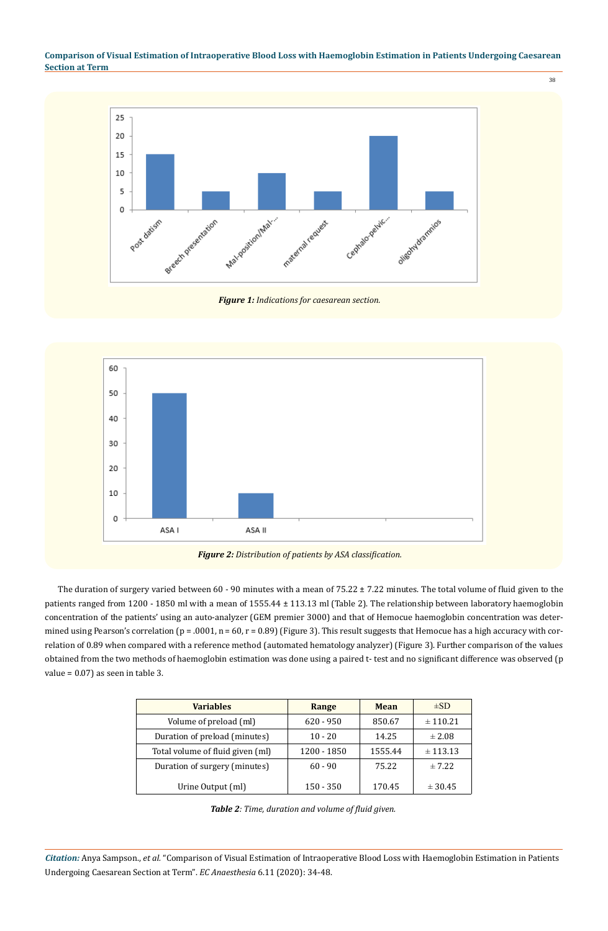38



*Figure 1: Indications for caesarean section.*



*Figure 2: Distribution of patients by ASA classification.*

The duration of surgery varied between 60 - 90 minutes with a mean of  $75.22 \pm 7.22$  minutes. The total volume of fluid given to the patients ranged from 1200 - 1850 ml with a mean of 1555.44 ± 113.13 ml (Table 2). The relationship between laboratory haemoglobin concentration of the patients' using an auto-analyzer (GEM premier 3000) and that of Hemocue haemoglobin concentration was determined using Pearson's correlation ( $p = .0001$ ,  $n = 60$ ,  $r = 0.89$ ) (Figure 3). This result suggests that Hemocue has a high accuracy with correlation of 0.89 when compared with a reference method (automated hematology analyzer) (Figure 3). Further comparison of the values obtained from the two methods of haemoglobin estimation was done using a paired t- test and no significant difference was observed (p value = 0.07) as seen in table 3.

| <b>Variables</b>                 | Range       | <b>Mean</b> | $\pm$ SD   |
|----------------------------------|-------------|-------------|------------|
| Volume of preload (ml)           | $620 - 950$ | 850.67      | ± 110.21   |
| Duration of preload (minutes)    | $10 - 20$   | 14.25       | $\pm 2.08$ |
| Total volume of fluid given (ml) | 1200 - 1850 | 1555.44     | ± 113.13   |
| Duration of surgery (minutes)    | $60 - 90$   | 75.22       | ± 7.22     |
| Urine Output (ml)                | $150 - 350$ | 170.45      | ± 30.45    |

*Table 2: Time, duration and volume of fluid given.*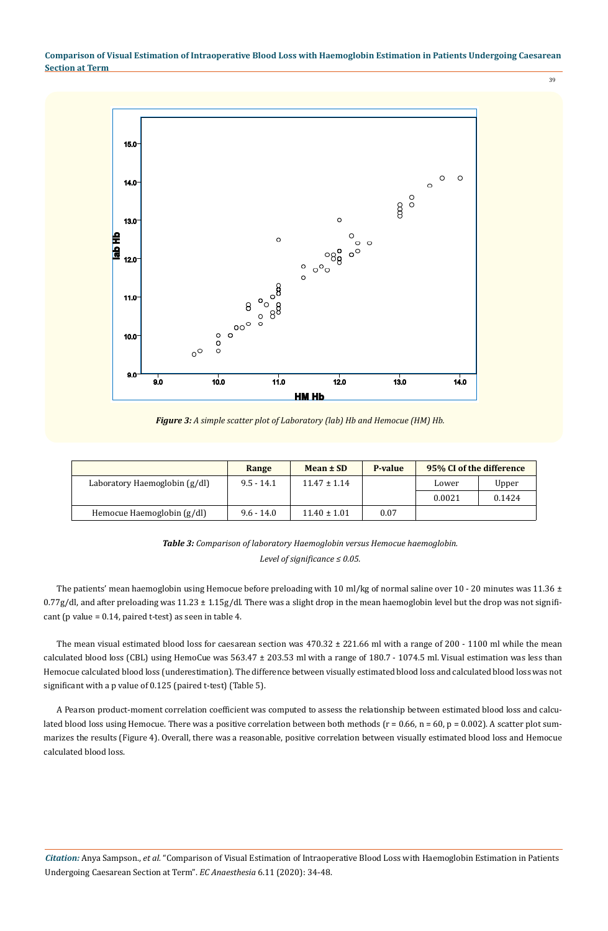39



*Figure 3: A simple scatter plot of Laboratory (lab) Hb and Hemocue (HM) Hb.*

|                               | Range        | Mean ± SD        | P-value | 95% CI of the difference |        |
|-------------------------------|--------------|------------------|---------|--------------------------|--------|
| Laboratory Haemoglobin (g/dl) | $9.5 - 14.1$ | $11.47 \pm 1.14$ |         | Lower                    | Upper  |
|                               |              |                  |         | 0.0021                   | 0.1424 |
| Hemocue Haemoglobin (g/dl)    | $9.6 - 14.0$ | $11.40 \pm 1.01$ | 0.07    |                          |        |

*Table 3: Comparison of laboratory Haemoglobin versus Hemocue haemoglobin. Level of significance ≤ 0.05.*

The patients' mean haemoglobin using Hemocue before preloading with 10 ml/kg of normal saline over 10 - 20 minutes was 11.36  $\pm$  $0.77$ g/dl, and after preloading was  $11.23 \pm 1.15$ g/dl. There was a slight drop in the mean haemoglobin level but the drop was not significant (p value = 0.14, paired t-test) as seen in table 4.

The mean visual estimated blood loss for caesarean section was 470.32 ± 221.66 ml with a range of 200 - 1100 ml while the mean calculated blood loss (CBL) using HemoCue was 563.47 ± 203.53 ml with a range of 180.7 - 1074.5 ml. Visual estimation was less than Hemocue calculated blood loss (underestimation). The difference between visually estimated blood loss and calculated blood loss was not significant with a p value of 0.125 (paired t-test) (Table 5).

A Pearson product-moment correlation coefficient was computed to assess the relationship between estimated blood loss and calculated blood loss using Hemocue. There was a positive correlation between both methods ( $r = 0.66$ ,  $n = 60$ ,  $p = 0.002$ ). A scatter plot summarizes the results (Figure 4). Overall, there was a reasonable, positive correlation between visually estimated blood loss and Hemocue calculated blood loss.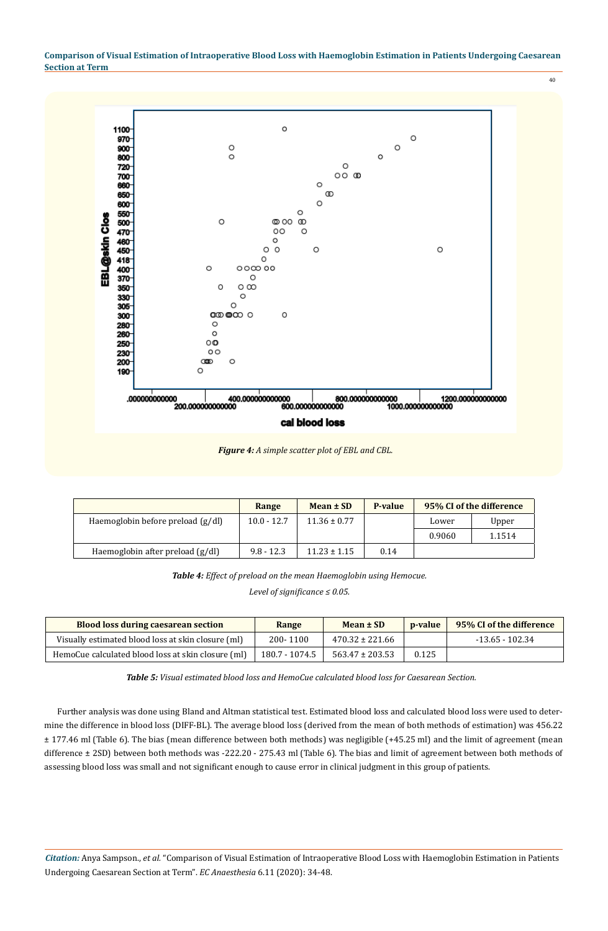

|                                   | Range         | Mean ± SD        | P-value | 95% CI of the difference |        |
|-----------------------------------|---------------|------------------|---------|--------------------------|--------|
| Haemoglobin before preload (g/dl) | $10.0 - 12.7$ | $11.36 \pm 0.77$ |         | Lower                    | Upper  |
|                                   |               |                  |         | 0.9060                   | 1.1514 |
| Haemoglobin after preload (g/dl)  | $9.8 - 12.3$  | $11.23 \pm 1.15$ | 0.14    |                          |        |

*Table 4: Effect of preload on the mean Haemoglobin using Hemocue.*

*Level of significance ≤ 0.05.*

| <b>Blood loss during caesarean section</b>         | Range          | Mean ± SD           | <i>p</i> -value | 95% CI of the difference |
|----------------------------------------------------|----------------|---------------------|-----------------|--------------------------|
| Visually estimated blood loss at skin closure (ml) | 200-1100       | $470.32 \pm 221.66$ |                 | $-13.65 - 102.34$        |
| HemoCue calculated blood loss at skin closure (ml) | 180.7 - 1074.5 | $563.47 \pm 203.53$ | 0.125           |                          |

*Table 5: Visual estimated blood loss and HemoCue calculated blood loss for Caesarean Section.*

Further analysis was done using Bland and Altman statistical test. Estimated blood loss and calculated blood loss were used to determine the difference in blood loss (DIFF-BL). The average blood loss (derived from the mean of both methods of estimation) was 456.22 ± 177.46 ml (Table 6). The bias (mean difference between both methods) was negligible (+45.25 ml) and the limit of agreement (mean difference ± 2SD) between both methods was -222.20 - 275.43 ml (Table 6). The bias and limit of agreement between both methods of assessing blood loss was small and not significant enough to cause error in clinical judgment in this group of patients.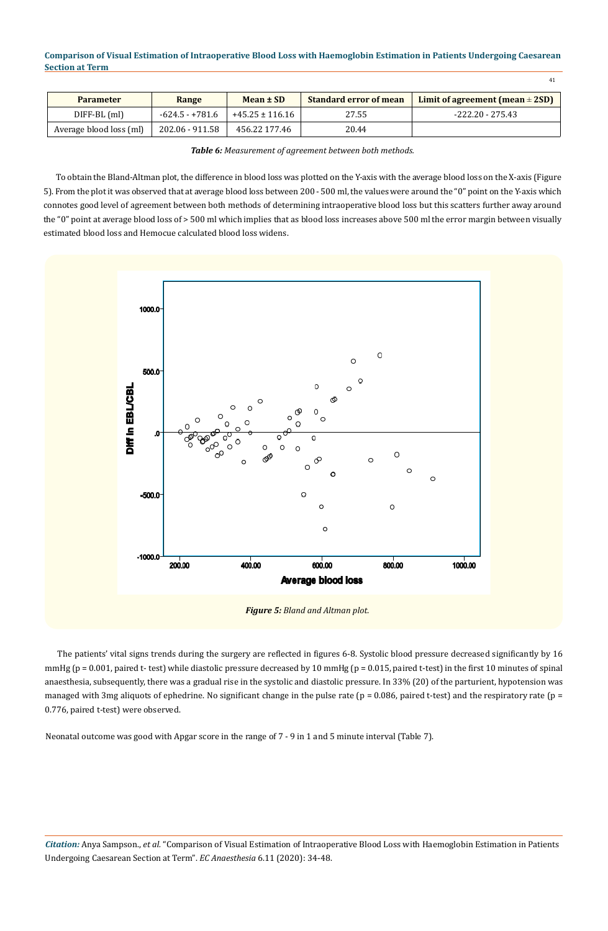41

| <b>Parameter</b>        | Range             | Mean ± SD           | <b>Standard error of mean</b> | Limit of agreement (mean $\pm$ 2SD) |
|-------------------------|-------------------|---------------------|-------------------------------|-------------------------------------|
| DIFF-BL (ml)            | $-624.5 - +781.6$ | $+45.25 \pm 116.16$ | 27.55                         | $-222.20 - 275.43$                  |
| Average blood loss (ml) | 202.06 - 911.58   | 456.22 177.46       | 20.44                         |                                     |

*Table 6: Measurement of agreement between both methods.*

To obtain the Bland-Altman plot, the difference in blood loss was plotted on the Y-axis with the average blood loss on the X-axis (Figure 5). From the plot it was observed that at average blood loss between 200 - 500 ml, the values were around the "0" point on the Y-axis which connotes good level of agreement between both methods of determining intraoperative blood loss but this scatters further away around the "0" point at average blood loss of > 500 ml which implies that as blood loss increases above 500 ml the error margin between visually estimated blood loss and Hemocue calculated blood loss widens.



The patients' vital signs trends during the surgery are reflected in figures 6-8. Systolic blood pressure decreased significantly by 16 mmHg (p = 0.001, paired t- test) while diastolic pressure decreased by 10 mmHg (p = 0.015, paired t-test) in the first 10 minutes of spinal anaesthesia, subsequently, there was a gradual rise in the systolic and diastolic pressure. In 33% (20) of the parturient, hypotension was managed with 3mg aliquots of ephedrine. No significant change in the pulse rate ( $p = 0.086$ , paired t-test) and the respiratory rate ( $p = 0.086$ ) 0.776, paired t-test) were observed.

Neonatal outcome was good with Apgar score in the range of 7 - 9 in 1 and 5 minute interval (Table 7).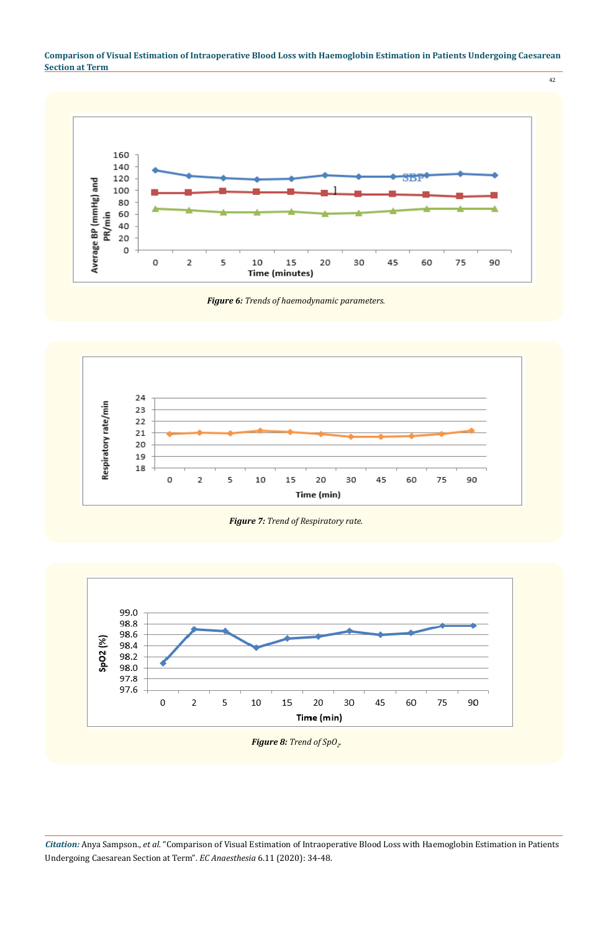

*Figure 6: Trends of haemodynamic parameters.*



*Figure 7: Trend of Respiratory rate.*

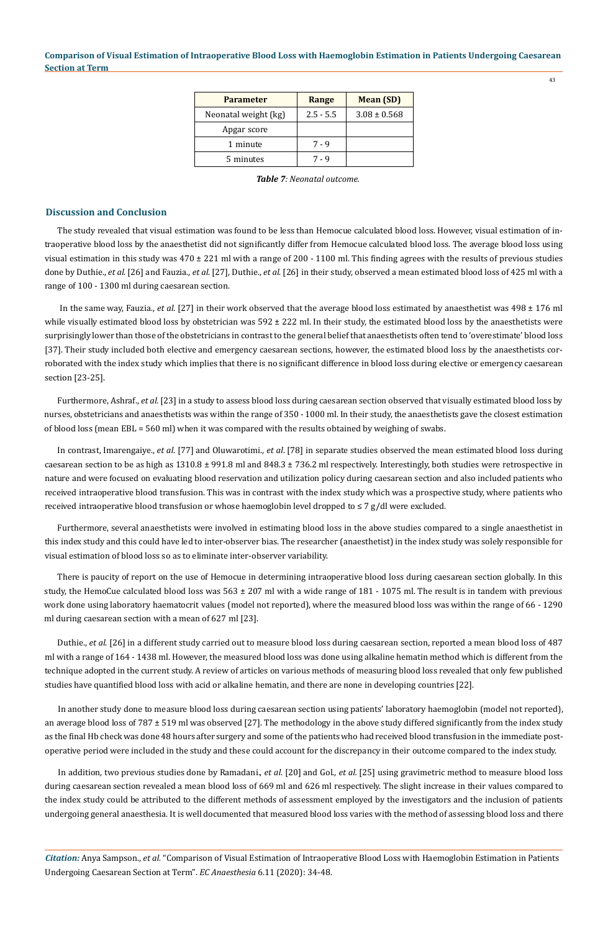| <b>Parameter</b>     | Range       | <b>Mean</b> (SD) |
|----------------------|-------------|------------------|
| Neonatal weight (kg) | $2.5 - 5.5$ | $3.08 \pm 0.568$ |
| Apgar score          |             |                  |
| 1 minute             | 7 - 9       |                  |
| 5 minutes            | 7.9         |                  |

*Table 7: Neonatal outcome.*

## **Discussion and Conclusion**

The study revealed that visual estimation was found to be less than Hemocue calculated blood loss. However, visual estimation of intraoperative blood loss by the anaesthetist did not significantly differ from Hemocue calculated blood loss. The average blood loss using visual estimation in this study was 470 ± 221 ml with a range of 200 - 1100 ml. This finding agrees with the results of previous studies done by Duthie., *et al*. [26] and Fauzia., *et al*. [27], Duthie., *et al*. [26] in their study, observed a mean estimated blood loss of 425 ml with a range of 100 - 1300 ml during caesarean section.

 In the same way, Fauzia., *et al*. [27] in their work observed that the average blood loss estimated by anaesthetist was 498 ± 176 ml while visually estimated blood loss by obstetrician was  $592 \pm 222$  ml. In their study, the estimated blood loss by the anaesthetists were surprisingly lower than those of the obstetricians in contrast to the general belief that anaesthetists often tend to 'overestimate' blood loss [37]. Their study included both elective and emergency caesarean sections, however, the estimated blood loss by the anaesthetists corroborated with the index study which implies that there is no significant difference in blood loss during elective or emergency caesarean section [23-25].

Furthermore, Ashraf., *et al.* [23] in a study to assess blood loss during caesarean section observed that visually estimated blood loss by nurses, obstetricians and anaesthetists was within the range of 350 - 1000 ml. In their study, the anaesthetists gave the closest estimation of blood loss (mean EBL = 560 ml) when it was compared with the results obtained by weighing of swabs.

In contrast, Imarengaiye., *et al*. [77] and Oluwarotimi., *et al*. [78] in separate studies observed the mean estimated blood loss during caesarean section to be as high as  $1310.8 \pm 991.8$  ml and  $848.3 \pm 736.2$  ml respectively. Interestingly, both studies were retrospective in nature and were focused on evaluating blood reservation and utilization policy during caesarean section and also included patients who received intraoperative blood transfusion. This was in contrast with the index study which was a prospective study, where patients who received intraoperative blood transfusion or whose haemoglobin level dropped to ≤ 7 g/dl were excluded.

Furthermore, several anaesthetists were involved in estimating blood loss in the above studies compared to a single anaesthetist in this index study and this could have led to inter-observer bias. The researcher (anaesthetist) in the index study was solely responsible for visual estimation of blood loss so as to eliminate inter-observer variability.

There is paucity of report on the use of Hemocue in determining intraoperative blood loss during caesarean section globally. In this study, the HemoCue calculated blood loss was 563 ± 207 ml with a wide range of 181 - 1075 ml. The result is in tandem with previous work done using laboratory haematocrit values (model not reported), where the measured blood loss was within the range of 66 - 1290 ml during caesarean section with a mean of 627 ml [23].

Duthie., *et al*. [26] in a different study carried out to measure blood loss during caesarean section, reported a mean blood loss of 487 ml with a range of 164 - 1438 ml. However, the measured blood loss was done using alkaline hematin method which is different from the technique adopted in the current study. A review of articles on various methods of measuring blood loss revealed that only few published studies have quantified blood loss with acid or alkaline hematin, and there are none in developing countries [22].

In another study done to measure blood loss during caesarean section using patients' laboratory haemoglobin (model not reported), an average blood loss of 787 ± 519 ml was observed [27]. The methodology in the above study differed significantly from the index study as the final Hb check was done 48 hours after surgery and some of the patients who had received blood transfusion in the immediate postoperative period were included in the study and these could account for the discrepancy in their outcome compared to the index study.

In addition, two previous studies done by Ramadani., *et al*. [20] and Gol., *et al.* [25] using gravimetric method to measure blood loss during caesarean section revealed a mean blood loss of 669 ml and 626 ml respectively. The slight increase in their values compared to the index study could be attributed to the different methods of assessment employed by the investigators and the inclusion of patients undergoing general anaesthesia. It is well documented that measured blood loss varies with the method of assessing blood loss and there

*Citation:* Anya Sampson., *et al.* "Comparison of Visual Estimation of Intraoperative Blood Loss with Haemoglobin Estimation in Patients Undergoing Caesarean Section at Term". *EC Anaesthesia* 6.11 (2020): 34-48.

43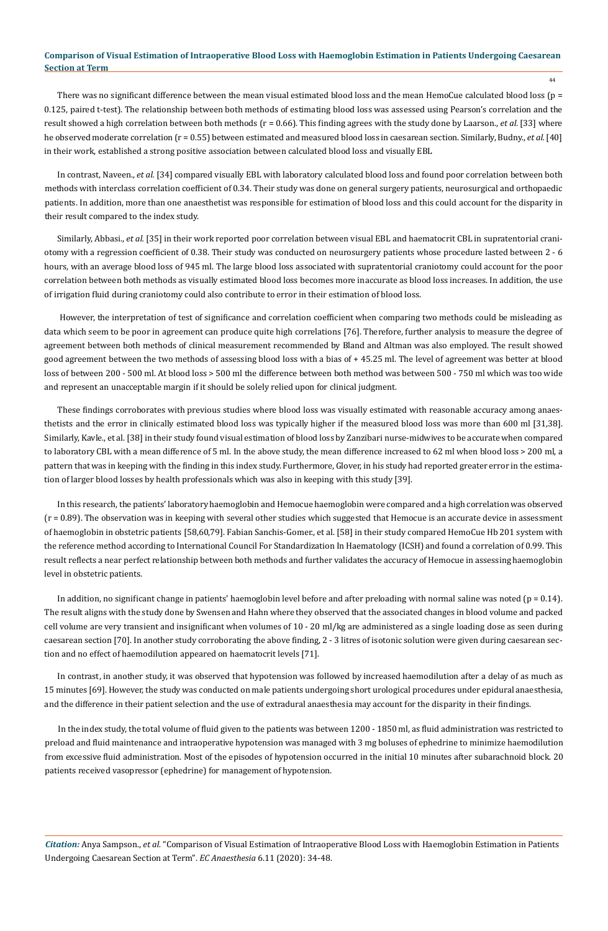44

There was no significant difference between the mean visual estimated blood loss and the mean HemoCue calculated blood loss ( $p =$ 0.125, paired t-test). The relationship between both methods of estimating blood loss was assessed using Pearson's correlation and the result showed a high correlation between both methods (r = 0.66). This finding agrees with the study done by Laarson., *et al.* [33] where he observed moderate correlation (r = 0.55) between estimated and measured blood loss in caesarean section. Similarly, Budny., *et al.* [40] in their work, established a strong positive association between calculated blood loss and visually EBL

In contrast, Naveen., *et al.* [34] compared visually EBL with laboratory calculated blood loss and found poor correlation between both methods with interclass correlation coefficient of 0.34. Their study was done on general surgery patients, neurosurgical and orthopaedic patients. In addition, more than one anaesthetist was responsible for estimation of blood loss and this could account for the disparity in their result compared to the index study.

Similarly, Abbasi., *et al.* [35] in their work reported poor correlation between visual EBL and haematocrit CBL in supratentorial craniotomy with a regression coefficient of 0.38. Their study was conducted on neurosurgery patients whose procedure lasted between 2 - 6 hours, with an average blood loss of 945 ml. The large blood loss associated with supratentorial craniotomy could account for the poor correlation between both methods as visually estimated blood loss becomes more inaccurate as blood loss increases. In addition, the use of irrigation fluid during craniotomy could also contribute to error in their estimation of blood loss.

 However, the interpretation of test of significance and correlation coefficient when comparing two methods could be misleading as data which seem to be poor in agreement can produce quite high correlations [76]. Therefore, further analysis to measure the degree of agreement between both methods of clinical measurement recommended by Bland and Altman was also employed. The result showed good agreement between the two methods of assessing blood loss with a bias of + 45.25 ml. The level of agreement was better at blood loss of between 200 - 500 ml. At blood loss > 500 ml the difference between both method was between 500 - 750 ml which was too wide and represent an unacceptable margin if it should be solely relied upon for clinical judgment.

These findings corroborates with previous studies where blood loss was visually estimated with reasonable accuracy among anaesthetists and the error in clinically estimated blood loss was typically higher if the measured blood loss was more than 600 ml [31,38]. Similarly, Kavle., et al. [38] in their study found visual estimation of blood loss by Zanzibari nurse-midwives to be accurate when compared to laboratory CBL with a mean difference of 5 ml. In the above study, the mean difference increased to 62 ml when blood loss > 200 ml, a pattern that was in keeping with the finding in this index study. Furthermore, Glover, in his study had reported greater error in the estimation of larger blood losses by health professionals which was also in keeping with this study [39].

In this research, the patients' laboratory haemoglobin and Hemocue haemoglobin were compared and a high correlation was observed (r = 0.89). The observation was in keeping with several other studies which suggested that Hemocue is an accurate device in assessment of haemoglobin in obstetric patients [58,60,79]. Fabian Sanchis-Gomer., et al. [58] in their study compared HemoCue Hb 201 system with the reference method according to International Council For Standardization In Haematology (ICSH) and found a correlation of 0.99. This result reflects a near perfect relationship between both methods and further validates the accuracy of Hemocue in assessing haemoglobin level in obstetric patients.

In addition, no significant change in patients' haemoglobin level before and after preloading with normal saline was noted ( $p = 0.14$ ). The result aligns with the study done by Swensen and Hahn where they observed that the associated changes in blood volume and packed cell volume are very transient and insignificant when volumes of 10 - 20 ml/kg are administered as a single loading dose as seen during caesarean section [70]. In another study corroborating the above finding, 2 - 3 litres of isotonic solution were given during caesarean section and no effect of haemodilution appeared on haematocrit levels [71].

In contrast, in another study, it was observed that hypotension was followed by increased haemodilution after a delay of as much as 15 minutes [69]. However, the study was conducted on male patients undergoing short urological procedures under epidural anaesthesia, and the difference in their patient selection and the use of extradural anaesthesia may account for the disparity in their findings.

In the index study, the total volume of fluid given to the patients was between 1200 - 1850 ml, as fluid administration was restricted to preload and fluid maintenance and intraoperative hypotension was managed with 3 mg boluses of ephedrine to minimize haemodilution from excessive fluid administration. Most of the episodes of hypotension occurred in the initial 10 minutes after subarachnoid block. 20 patients received vasopressor (ephedrine) for management of hypotension.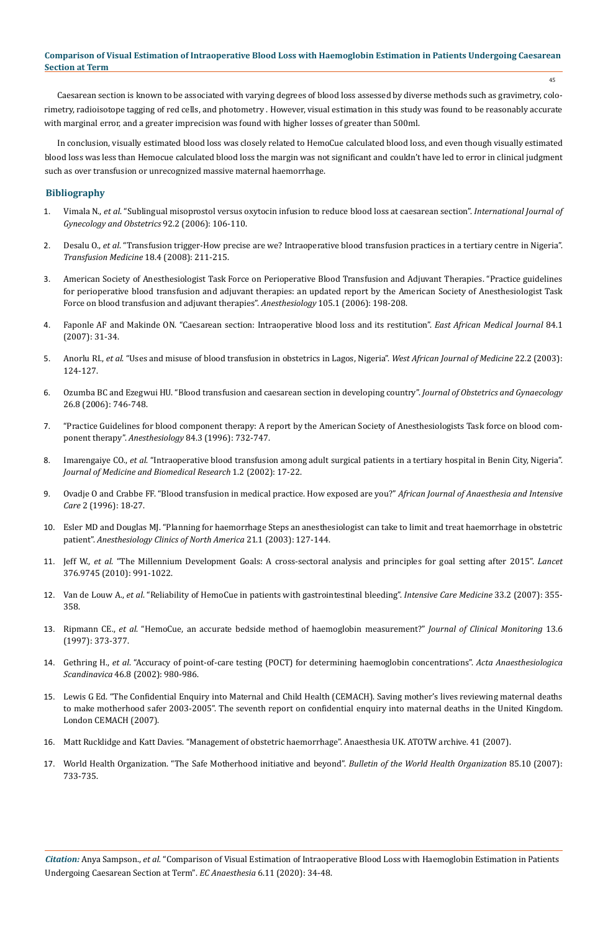Caesarean section is known to be associated with varying degrees of blood loss assessed by diverse methods such as gravimetry, colorimetry, radioisotope tagging of red cells, and photometry . However, visual estimation in this study was found to be reasonably accurate with marginal error, and a greater imprecision was found with higher losses of greater than 500ml.

In conclusion, visually estimated blood loss was closely related to HemoCue calculated blood loss, and even though visually estimated blood loss was less than Hemocue calculated blood loss the margin was not significant and couldn't have led to error in clinical judgment such as over transfusion or unrecognized massive maternal haemorrhage.

## **Bibliography**

- 1. Vimala N., *et al*[. "Sublingual misoprostol versus oxytocin infusion to reduce blood loss at caesarean section".](https://www.ncbi.nlm.nih.gov/pubmed/16343498) *International Journal of [Gynecology and Obstetrics](https://www.ncbi.nlm.nih.gov/pubmed/16343498)* 92.2 (2006): 106-110.
- 2. Desalu O., *et al*[. "Transfusion trigger-How precise are we? Intraoperative blood transfusion practices in a tertiary centre in Nigeria".](https://www.ncbi.nlm.nih.gov/pubmed/18783579)  *[Transfusion Medicine](https://www.ncbi.nlm.nih.gov/pubmed/18783579)* 18.4 (2008): 211-215.
- 3. [American Society of Anesthesiologist Task Force on Perioperative Blood Transfusion and Adjuvant Therapies. "Practice guidelines](https://www.ncbi.nlm.nih.gov/pubmed/16810012) [for perioperative blood transfusion and adjuvant therapies: an updated report by the American Society of Anesthesiologist Task](https://www.ncbi.nlm.nih.gov/pubmed/16810012) [Force on blood transfusion and adjuvant therapies".](https://www.ncbi.nlm.nih.gov/pubmed/16810012) *Anesthesiology* 105.1 (2006): 198-208.
- 4. Faponle AF and Makinde ON. "Caesarean section: Intraoperative blood loss and its restitution". *East African Medical Journal* 84.1 (2007): 31-34.
- 5. Anorlu RI., *et al*[. "Uses and misuse of blood transfusion in obstetrics in Lagos, Nigeria".](https://www.ncbi.nlm.nih.gov/pubmed/14529219) *West African Journal of Medicine* 22.2 (2003): [124-127.](https://www.ncbi.nlm.nih.gov/pubmed/14529219)
- 6. [Ozumba BC and Ezegwui HU. "Blood transfusion and caesarean section in developing country".](https://www.ncbi.nlm.nih.gov/pubmed/17130021) *Journal of Obstetrics and Gynaecology*  [26.8 \(2006\): 746-748.](https://www.ncbi.nlm.nih.gov/pubmed/17130021)
- 7. ["Practice Guidelines for blood component therapy: A report by the American Society of Anesthesiologists Task force on blood com](https://www.ncbi.nlm.nih.gov/pubmed/8659805)ponent therapy". *Anesthesiology* [84.3 \(1996\): 732-747.](https://www.ncbi.nlm.nih.gov/pubmed/8659805)
- 8. Imarengaiye CO., *et al*[. "Intraoperative blood transfusion among adult surgical patients in a tertiary hospital in Benin City, Nigeria".](https://www.ajol.info/index.php/jmbr/article/view/10629)  *[Journal of Medicine and Biomedical Research](https://www.ajol.info/index.php/jmbr/article/view/10629)* 1.2 (2002): 17-22.
- 9. Ovadje O and Crabbe FF. "Blood transfusion in medical practice. How exposed are you?" *African Journal of Anaesthesia and Intensive Care* 2 (1996): 18-27.
- 10. [Esler MD and Douglas MJ. "Planning for haemorrhage Steps an anesthesiologist can take to limit and treat haemorrhage in obstetric](https://www.ncbi.nlm.nih.gov/pubmed/12698837)  patient". *[Anesthesiology Clinics of North America](https://www.ncbi.nlm.nih.gov/pubmed/12698837)* 21.1 (2003): 127-144.
- 11. Jeff W., *et al*[. "The Millennium Development Goals: A cross-sectoral analysis and principles for goal setting after 2015".](https://www.ncbi.nlm.nih.gov/pubmed/12698837) *Lancet*  [376.9745 \(2010\): 991-1022.](https://www.ncbi.nlm.nih.gov/pubmed/12698837)
- 12. Van de Louw A., *et al*[. "Reliability of HemoCue in patients with gastrointestinal bleeding".](https://www.ncbi.nlm.nih.gov/pubmed/17146633) *Intensive Care Medicine* 33.2 (2007): 355- [358.](https://www.ncbi.nlm.nih.gov/pubmed/17146633)
- 13. Ripmann CE., *et al*[. "HemoCue, an accurate bedside method of haemoglobin measurement?"](https://www.ncbi.nlm.nih.gov/pubmed/9495289) *Journal of Clinical Monitoring* 13.6 [\(1997\): 373-377.](https://www.ncbi.nlm.nih.gov/pubmed/9495289)
- 14. Gethring H., *et al*[. "Accuracy of point-of-care testing \(POCT\) for determining haemoglobin concentrations".](https://www.ncbi.nlm.nih.gov/pubmed/12190799) *Acta Anaesthesiologica Scandinavica* [46.8 \(2002\): 980-986.](https://www.ncbi.nlm.nih.gov/pubmed/12190799)
- 15. Lewis G Ed. "The Confidential Enquiry into Maternal and Child Health (CEMACH). Saving mother's lives reviewing maternal deaths to make motherhood safer 2003-2005". The seventh report on confidential enquiry into maternal deaths in the United Kingdom. London CEMACH (2007).
- 16. Matt Rucklidge and Katt Davies. "Management of obstetric haemorrhage". Anaesthesia UK. ATOTW archive. 41 (2007).
- 17. [World Health Organization. "The Safe Motherhood initiative and beyond".](https://www.ncbi.nlm.nih.gov/pubmed/18038048) *Bulletin of the World Health Organization* 85.10 (2007): [733-735.](https://www.ncbi.nlm.nih.gov/pubmed/18038048)

*Citation:* Anya Sampson., *et al.* "Comparison of Visual Estimation of Intraoperative Blood Loss with Haemoglobin Estimation in Patients Undergoing Caesarean Section at Term". *EC Anaesthesia* 6.11 (2020): 34-48.

45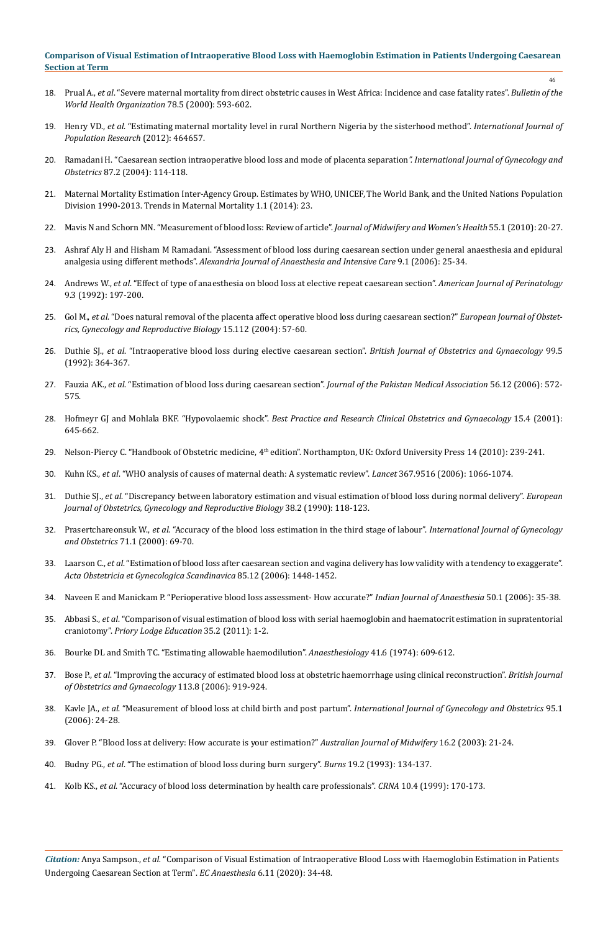18. Prual A., *et al*[. "Severe maternal mortality from direct obstetric causes in West Africa: Incidence and case fatality rates".](https://www.ncbi.nlm.nih.gov/pubmed/10859853) *Bulletin of the [World Health Organization](https://www.ncbi.nlm.nih.gov/pubmed/10859853)* 78.5 (2000): 593-602.

46

- 19. Henry VD., *et al*[. "Estimating maternal mortality level in rural Northern Nigeria by the sisterhood method".](https://www.hindawi.com/journals/ijpr/2012/464657/) *International Journal of [Population Research](https://www.hindawi.com/journals/ijpr/2012/464657/)* (2012): 464657.
- 20. [Ramadani H. "Caesarean section intraoperative blood loss and mode of placenta separation](https://www.ncbi.nlm.nih.gov/pubmed/15491554)*". International Journal of Gynecology and Obstetrics* [87.2 \(2004\): 114-118.](https://www.ncbi.nlm.nih.gov/pubmed/15491554)
- 21. [Maternal Mortality Estimation Inter-Agency Group. Estimates by WHO, UNICEF, The World Bank, and the United Nations Population](http://apps.who.int/iris/bitstream/handle/10665/112682/9789241507226_eng.pdf;jsessionid=42299F85BC17AFF5F591F93BD652D1C6?sequence=2)  [Division 1990-2013. Trends in Maternal Mortality 1.1 \(2014\): 23.](http://apps.who.int/iris/bitstream/handle/10665/112682/9789241507226_eng.pdf;jsessionid=42299F85BC17AFF5F591F93BD652D1C6?sequence=2)
- 22. [Mavis N and Schorn MN. "Measurement of blood loss: Review of article".](https://www.ncbi.nlm.nih.gov/pubmed/20129226) *Journal of Midwifery and Women's Health* 55.1 (2010): 20-27.
- 23. [Ashraf Aly H and Hisham M Ramadani. "Assessment of blood loss during caesarean section under general anaesthesia and epidural](http://applications.emro.who.int/imemrf/AJAIC/2006_9_1_25.pdf)  analgesia using different methods". *[Alexandria Journal of Anaesthesia and Intensive Care](http://applications.emro.who.int/imemrf/AJAIC/2006_9_1_25.pdf)* 9.1 (2006): 25-34.
- 24. Andrews W., *et al*[. "Effect of type of anaesthesia on blood loss at elective repeat caesarean section".](https://www.ncbi.nlm.nih.gov/pubmed/1575842) *American Journal of Perinatology*  [9.3 \(1992\): 197-200.](https://www.ncbi.nlm.nih.gov/pubmed/1575842)
- 25. Gol M., *et al*. "Does natural removal of the placenta affect operative blood loss during caesarean section?" *European Journal of Obstetrics, Gynecology and Reproductive Biology* 15.112 (2004): 57-60.
- 26. Duthie SJ., *et al*[. "Intraoperative blood loss during elective caesarean section".](https://www.ncbi.nlm.nih.gov/pubmed/1622905) *British Journal of Obstetrics and Gynaecology* 99.5 [\(1992\): 364-367.](https://www.ncbi.nlm.nih.gov/pubmed/1622905)
- 27. Fauzia AK., *et al*[. "Estimation of blood loss during caesarean section".](https://www.ncbi.nlm.nih.gov/pubmed/17312645) *Journal of the Pakistan Medical Association* 56.12 (2006): 572- [575.](https://www.ncbi.nlm.nih.gov/pubmed/17312645)
- 28. Hofmeyr GJ and Mohlala BKF. "Hypovolaemic shock". *[Best Practice and Research Clinical Obstetrics and Gynaecology](https://www.ncbi.nlm.nih.gov/pubmed/11478820)* 15.4 (2001): [645-662.](https://www.ncbi.nlm.nih.gov/pubmed/11478820)
- 29. Nelson-Piercy C. "Handbook of Obstetric medicine, 4th edition". Northampton, UK: Oxford University Press 14 (2010): 239-241.
- 30. Kuhn KS., *et al*[. "WHO analysis of causes of maternal death: A systematic review".](https://www.ncbi.nlm.nih.gov/pubmed/16581405) *Lancet* 367.9516 (2006): 1066-1074.
- 31. Duthie SJ., *et al*[. "Discrepancy between laboratory estimation and visual estimation of blood loss during normal delivery".](https://www.ncbi.nlm.nih.gov/pubmed/1995380) *European [Journal of Obstetrics, Gynecology and Reproductive Biology](https://www.ncbi.nlm.nih.gov/pubmed/1995380)* 38.2 (1990): 118-123.
- 32. Prasertchareonsuk W., *et al*[. "Accuracy of the blood loss estimation in the third stage of labour".](https://www.ncbi.nlm.nih.gov/pubmed/11044547) *International Journal of Gynecology and Obstetrics* [71.1 \(2000\): 69-70.](https://www.ncbi.nlm.nih.gov/pubmed/11044547)
- 33. Laarson C., *et al*[. "Estimation of blood loss after caesarean section and vagina delivery has low validity with a tendency to exaggerate".](https://www.ncbi.nlm.nih.gov/pubmed/17260220)  *[Acta Obstetricia et Gynecologica Scandinavica](https://www.ncbi.nlm.nih.gov/pubmed/17260220)* 85.12 (2006): 1448-1452.
- 34. [Naveen E and Manickam P. "Perioperative blood loss assessment- How accurate?"](http://medind.nic.in/iad/t06/i1/iadt06i1p35.pdf) *Indian Journal of Anaesthesia* 50.1 (2006): 35-38.
- 35. Abbasi S., *et al*[. "Comparison of visual estimation of blood loss with serial haemoglobin and haematocrit estimation in supratentorial](http://www.priory.com/anaesthesia/Blood-Loss.htm)  craniotomy". *[Priory Lodge Education](http://www.priory.com/anaesthesia/Blood-Loss.htm)* 35.2 (2011): 1-2.
- 36. [Bourke DL and Smith TC. "Estimating allowable haemodilution".](https://www.ncbi.nlm.nih.gov/pubmed/4433062) *Anaesthesiology* 41.6 (1974): 609-612.
- 37. Bose P., *et al*[. "Improving the accuracy of estimated blood loss at obstetric haemorrhage using clinical reconstruction".](https://www.ncbi.nlm.nih.gov/pubmed/16907938) *British Journal [of Obstetrics and Gynaecology](https://www.ncbi.nlm.nih.gov/pubmed/16907938)* 113.8 (2006): 919-924.
- 38. Kavle JA., *et al*[. "Measurement of blood loss at child birth and post partum".](https://www.sciencedirect.com/science/article/pii/S0020729206003080) *International Journal of Gynecology and Obstetrics* 95.1 [\(2006\): 24-28.](https://www.sciencedirect.com/science/article/pii/S0020729206003080)
- 39. [Glover P. "Blood loss at delivery: How accurate is your estimation?"](https://www.ncbi.nlm.nih.gov/pubmed/15553427) *Australian Journal of Midwifery* 16.2 (2003): 21-24.
- 40. Budny PG., *et al*[. "The estimation of blood loss during burn surgery".](https://www.ncbi.nlm.nih.gov/pubmed/8471147) *Burns* 19.2 (1993): 134-137.
- 41. Kolb KS., *et al*[. "Accuracy of blood loss determination by health care professionals".](https://www.ncbi.nlm.nih.gov/pubmed/10723295) *CRNA* 10.4 (1999): 170-173.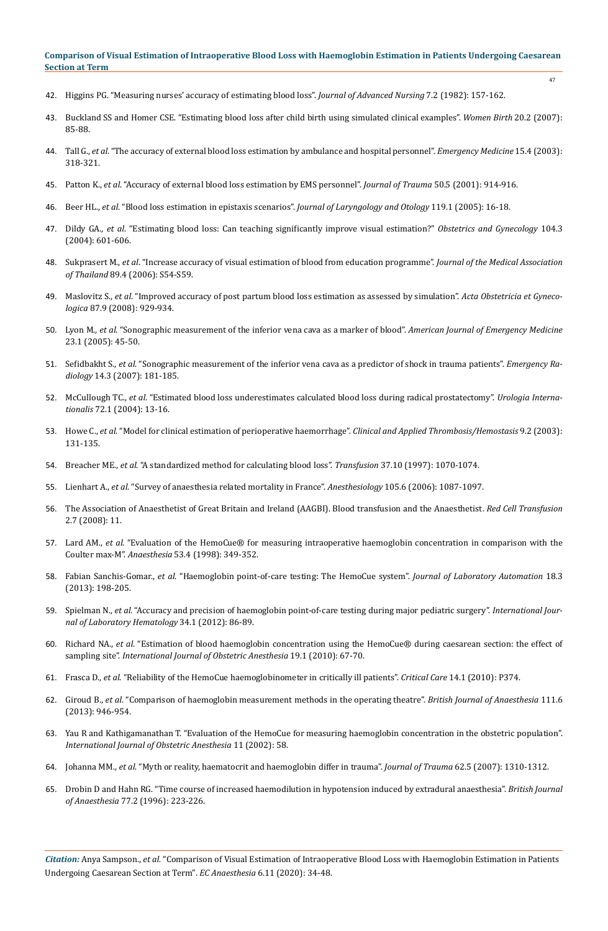- 47
- 42. [Higgins PG. "Measuring nurses' accuracy of estimating blood loss".](https://www.ncbi.nlm.nih.gov/pubmed/6979560) *Journal of Advanced Nursing* 7.2 (1982): 157-162.
- 43. [Buckland SS and Homer CSE. "Estimating blood loss after child birth using simulated clinical examples".](https://www.ncbi.nlm.nih.gov/pubmed/17320496) *Women Birth* 20.2 (2007): [85-88.](https://www.ncbi.nlm.nih.gov/pubmed/17320496)
- 44. Tall G., *et al*[. "The accuracy of external blood loss estimation by ambulance and hospital personnel".](https://www.ncbi.nlm.nih.gov/pubmed/14631697) *Emergency Medicine* 15.4 (2003): [318-321.](https://www.ncbi.nlm.nih.gov/pubmed/14631697)
- 45. Patton K., *et al*[. "Accuracy of external blood loss estimation by EMS personnel".](https://www.ncbi.nlm.nih.gov/pubmed/11371851) *Journal of Trauma* 50.5 (2001): 914-916.
- 46. Beer HL., *et al*[. "Blood loss estimation in epistaxis scenarios".](https://www.ncbi.nlm.nih.gov/pubmed/15807956) *Journal of Laryngology and Otology* 119.1 (2005): 16-18.
- 47. Dildy GA., *et al*[. "Estimating blood loss: Can teaching significantly improve visual estimation?"](https://www.ncbi.nlm.nih.gov/pubmed/15339775) *Obstetrics and Gynecology* 104.3 [\(2004\): 601-606.](https://www.ncbi.nlm.nih.gov/pubmed/15339775)
- 48. Sukprasert M., *et al*[. "Increase accuracy of visual estimation of blood from education programme".](https://www.ncbi.nlm.nih.gov/pubmed/17726810) *Journal of the Medical Association of Thailand* [89.4 \(2006\): S54-S59.](https://www.ncbi.nlm.nih.gov/pubmed/17726810)
- 49. Maslovitz S., *et al*[. "Improved accuracy of post partum blood loss estimation as assessed by simulation".](https://www.ncbi.nlm.nih.gov/pubmed/18720041) *Acta Obstetricia et Gynecologica* [87.9 \(2008\): 929-934.](https://www.ncbi.nlm.nih.gov/pubmed/18720041)
- 50. Lyon M., *et al*[. "Sonographic measurement of the inferior vena cava as a marker of blood".](https://www.ncbi.nlm.nih.gov/pubmed/15672337) *American Journal of Emergency Medicine*  [23.1 \(2005\): 45-50.](https://www.ncbi.nlm.nih.gov/pubmed/15672337)
- 51. Sefidbakht S., *et al*[. "Sonographic measurement of the inferior vena cava as a predictor of shock in trauma patients".](https://www.ncbi.nlm.nih.gov/pubmed/17541661) *Emergency Radiology* [14.3 \(2007\): 181-185.](https://www.ncbi.nlm.nih.gov/pubmed/17541661)
- 52. McCullough TC., *et al*[. "Estimated blood loss underestimates calculated blood loss during radical prostatectomy".](https://www.ncbi.nlm.nih.gov/pubmed/14730159) *Urologia Internationalis* [72.1 \(2004\): 13-16.](https://www.ncbi.nlm.nih.gov/pubmed/14730159)
- 53. Howe C., *et al*[. "Model for clinical estimation of perioperative haemorrhage".](https://www.ncbi.nlm.nih.gov/pubmed/12812382) *Clinical and Applied Thrombosis/Hemostasis* 9.2 (2003): [131-135.](https://www.ncbi.nlm.nih.gov/pubmed/12812382)
- 54. Breacher ME., *et al*[. "A standardized method for calculating blood loss".](https://www.ncbi.nlm.nih.gov/pubmed/9354828) *Transfusion* 37.10 (1997): 1070-1074.
- 55. Lienhart A., *et al*[. "Survey of anaesthesia related mortality in France".](https://www.ncbi.nlm.nih.gov/pubmed/17122571) *Anesthesiology* 105.6 (2006): 1087-1097.
- 56. The Association of Anaesthetist of Great Britain and Ireland (AAGBI). Blood transfusion and the Anaesthetist. *Red Cell Transfusion* 2.7 (2008): 11.
- 57. Lard AM., *et al*[. "Evaluation of the HemoCue® for measuring intraoperative haemoglobin concentration in comparison with the](https://www.ncbi.nlm.nih.gov/pubmed/9613300)  Coulter max-M". *Anaesthesia* [53.4 \(1998\): 349-352.](https://www.ncbi.nlm.nih.gov/pubmed/9613300)
- 58. Fabian Sanchis-Gomar., *et al*[. "Haemoglobin point-of-care testing: The HemoCue system".](https://www.ncbi.nlm.nih.gov/pubmed/22961038) *Journal of Laboratory Automation* 18.3 [\(2013\): 198-205.](https://www.ncbi.nlm.nih.gov/pubmed/22961038)
- 59. Spielman N., *et al*[. "Accuracy and precision of haemoglobin point-of-care testing during major pediatric surgery".](https://www.ncbi.nlm.nih.gov/pubmed/21794097) *International Jour[nal of Laboratory Hematology](https://www.ncbi.nlm.nih.gov/pubmed/21794097)* 34.1 (2012): 86-89.
- 60. Richard NA., *et al*[. "Estimation of blood haemoglobin concentration using the HemoCue® during caesarean section: the effect of](https://www.ncbi.nlm.nih.gov/pubmed/19945277)  sampling site". *[International Journal of Obstetric Anesthesia](https://www.ncbi.nlm.nih.gov/pubmed/19945277)* 19.1 (2010): 67-70.
- 61. Frasca D., *et al*[. "Reliability of the HemoCue haemoglobinometer in critically ill patients".](https://www.ncbi.nlm.nih.gov/pmc/articles/PMC2934105/) *Critical Care* 14.1 (2010): P374.
- 62. Giroud B., *et al*[. "Comparison of haemoglobin measurement methods in the operating theatre".](https://www.ncbi.nlm.nih.gov/pubmed/23869108) *British Journal of Anaesthesia* 111.6 [\(2013\): 946-954.](https://www.ncbi.nlm.nih.gov/pubmed/23869108)
- 63. [Yau R and Kathigamanathan T. "Evaluation of the HemoCue for measuring haemoglobin concentration in the obstetric population".](https://www.researchgate.net/publication/245592340_Evaluation_of_the_HemoCue_for_measuring_haemoglobin_concentration_in_the_obstetric_population)  *[International Journal of Obstetric Anesthesia](https://www.researchgate.net/publication/245592340_Evaluation_of_the_HemoCue_for_measuring_haemoglobin_concentration_in_the_obstetric_population)* 11 (2002): 58.
- 64. Johanna MM., *et al*[. "Myth or reality, haematocrit and haemoglobin differ in trauma".](https://www.ncbi.nlm.nih.gov/pubmed/17495743) *Journal of Trauma* 62.5 (2007): 1310-1312.
- 65. [Drobin D and Hahn RG. "Time course of increased haemodilution in hypotension induced by extradural anaesthesia".](https://www.ncbi.nlm.nih.gov/pubmed/8881630) *British Journal of Anaesthesia* [77.2 \(1996\): 223-226.](https://www.ncbi.nlm.nih.gov/pubmed/8881630)